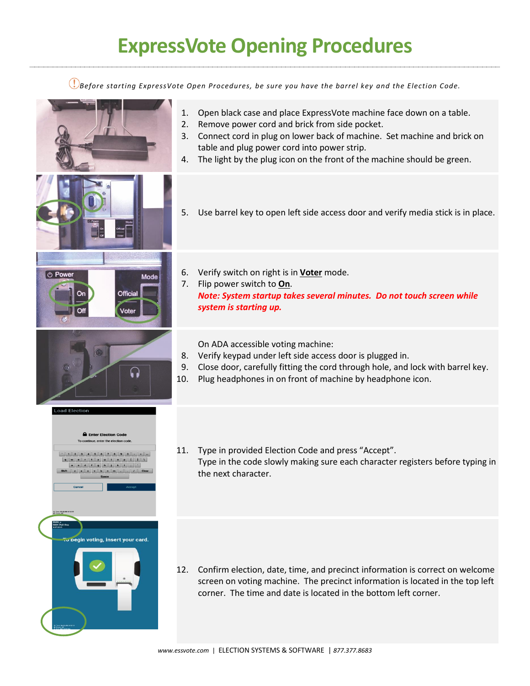## **ExpressVote Opening Procedures**

*Before starting ExpressVote Open Procedures, be sure you have the barrel key and the Election Code.*

1. Open black case and place ExpressVote machine face down on a table. 2. Remove power cord and brick from side pocket. 3. Connect cord in plug on lower back of machine. Set machine and brick on table and plug power cord into power strip. 4. The light by the plug icon on the front of the machine should be green. 5. Use barrel key to open left side access door and verify media stick is in place. 6. Verify switch on right is in **Voter** mode.  $(b)$  P Mode 7. Flip power switch to **On**. **Official** *Note: System startup takes several minutes. Do not touch screen while system is starting up.* Voter On ADA accessible voting machine: 8. Verify keypad under left side access door is plugged in. 9. Close door, carefully fitting the cord through hole, and lock with barrel key. ြ 10. Plug headphones in on front of machine by headphone icon. oad Electi **A** Enter Election Cod 11. Type in provided Election Code and press "Accept".  $1234567800...$ **QVJJJJJJJJJJJJJ** Type in the code slowly making sure each character registers before typing in  $x$   $\circ$   $y$   $b$ the next character. .<br>gin voting, insert your card 12. Confirm election, date, time, and precinct information is correct on welcome screen on voting machine. The precinct information is located in the top left corner. The time and date is located in the bottom left corner.